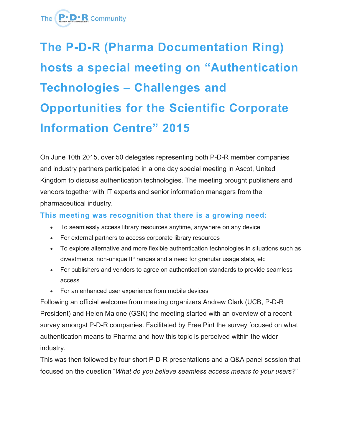

## **The P-D-R (Pharma Documentation Ring) hosts a special meeting on "Authentication Technologies – Challenges and Opportunities for the Scientific Corporate Information Centre" 2015**

On June 10th 2015, over 50 delegates representing both P-D-R member companies and industry partners participated in a one day special meeting in Ascot, United Kingdom to discuss authentication technologies. The meeting brought publishers and vendors together with IT experts and senior information managers from the pharmaceutical industry.

## **This meeting was recognition that there is a growing need:**

- To seamlessly access library resources anytime, anywhere on any device
- For external partners to access corporate library resources
- To explore alternative and more flexible authentication technologies in situations such as divestments, non-unique IP ranges and a need for granular usage stats, etc
- For publishers and vendors to agree on authentication standards to provide seamless access
- For an enhanced user experience from mobile devices

Following an official welcome from meeting organizers Andrew Clark (UCB, P-D-R President) and Helen Malone (GSK) the meeting started with an overview of a recent survey amongst P-D-R companies. Facilitated by Free Pint the survey focused on what authentication means to Pharma and how this topic is perceived within the wider industry.

This was then followed by four short P-D-R presentations and a Q&A panel session that focused on the question "*What do you believe seamless access means to your users?*"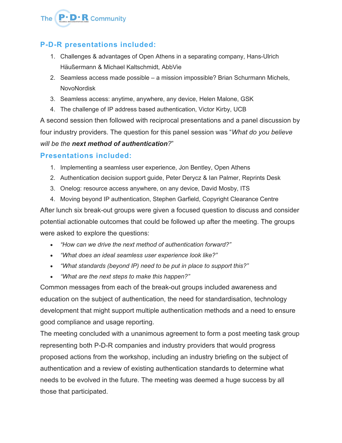

## **P-D-R presentations included:**

- 1. Challenges & advantages of Open Athens in a separating company, Hans-Ulrich Häußermann & Michael Kaltschmidt, AbbVie
- 2. Seamless access made possible a mission impossible? Brian Schurmann Michels, NovoNordisk
- 3. Seamless access: anytime, anywhere, any device, Helen Malone, GSK
- 4. The challenge of IP address based authentication, Victor Kirby, UCB

A second session then followed with reciprocal presentations and a panel discussion by four industry providers. The question for this panel session was "*What do you believe will be the next method of authentication?*"

## **Presentations included:**

- 1. Implementing a seamless user experience, Jon Bentley, Open Athens
- 2. Authentication decision support guide, Peter Derycz & Ian Palmer, Reprints Desk
- 3. Onelog: resource access anywhere, on any device, David Mosby, ITS

4. Moving beyond IP authentication, Stephen Garfield, Copyright Clearance Centre After lunch six break-out groups were given a focused question to discuss and consider potential actionable outcomes that could be followed up after the meeting. The groups were asked to explore the questions:

- *"How can we drive the next method of authentication forward?"*
- *"What does an ideal seamless user experience look like?"*
- *"What standards (beyond IP) need to be put in place to support this?"*
- *"What are the next steps to make this happen?"*

Common messages from each of the break-out groups included awareness and education on the subject of authentication, the need for standardisation, technology development that might support multiple authentication methods and a need to ensure good compliance and usage reporting.

The meeting concluded with a unanimous agreement to form a post meeting task group representing both P-D-R companies and industry providers that would progress proposed actions from the workshop, including an industry briefing on the subject of authentication and a review of existing authentication standards to determine what needs to be evolved in the future. The meeting was deemed a huge success by all those that participated.